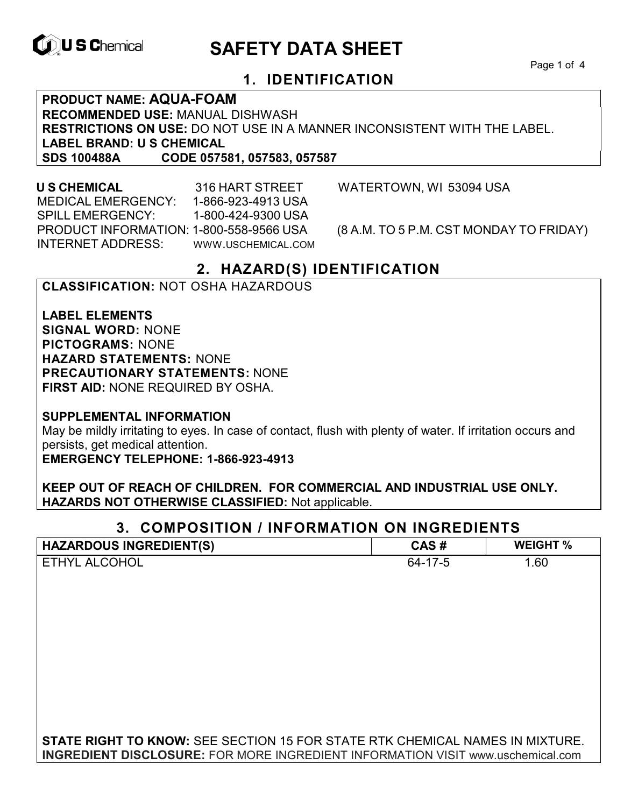

# **ID, U S Chemical CALL SAFETY DATA SHEET**

Page 1 of 4

# **1. IDENTIFICATION**

**PRODUCT NAME: AQUA-FOAM RECOMMENDED USE:** MANUAL DISHWASH **RESTRICTIONS ON USE:** DO NOT USE IN A MANNER INCONSISTENT WITH THE LABEL. **LABEL BRAND: U S CHEMICAL SDS 100488A CODE 057581, 057583, 057587**

 MEDICAL EMERGENCY: 1-866-923-4913 USA SPILL EMERGENCY: 1-800-424-9300 USA PRODUCT INFORMATION: 1-800-558-9566 USA (8 A.M. TO 5 P.M. CST MONDAY TO FRIDAY) INTERNET ADDRESS: WWW.USCHEMICAL.COM

**U S CHEMICAL** 316 HART STREET WATERTOWN, WI 53094 USA

# **2. HAZARD(S) IDENTIFICATION**

#### **CLASSIFICATION:** NOT OSHA HAZARDOUS

**LABEL ELEMENTS SIGNAL WORD:** NONE **PICTOGRAMS:** NONE **HAZARD STATEMENTS:** NONE **PRECAUTIONARY STATEMENTS:** NONE **FIRST AID:** NONE REQUIRED BY OSHA.

**SUPPLEMENTAL INFORMATION** 

May be mildly irritating to eyes. In case of contact, flush with plenty of water. If irritation occurs and persists, get medical attention.

**EMERGENCY TELEPHONE: 1-866-923-4913** 

**KEEP OUT OF REACH OF CHILDREN. FOR COMMERCIAL AND INDUSTRIAL USE ONLY. HAZARDS NOT OTHERWISE CLASSIFIED:** Not applicable.

### **3. COMPOSITION / INFORMATION ON INGREDIENTS**

| <b>HAZARDOUS INGREDIENT(S)</b>                                                         | CAS#    | <b>WEIGHT %</b> |
|----------------------------------------------------------------------------------------|---------|-----------------|
| ETHYL ALCOHOL                                                                          | 64-17-5 | 1.60            |
|                                                                                        |         |                 |
|                                                                                        |         |                 |
|                                                                                        |         |                 |
|                                                                                        |         |                 |
|                                                                                        |         |                 |
|                                                                                        |         |                 |
|                                                                                        |         |                 |
|                                                                                        |         |                 |
|                                                                                        |         |                 |
| <b>STATE RIGHT TO KNOW:</b> SEE SECTION 15 FOR STATE RTK CHEMICAL NAMES IN MIXTURE.    |         |                 |
| <b>INGREDIENT DISCLOSURE:</b> FOR MORE INGREDIENT INFORMATION VISIT www.uschemical.com |         |                 |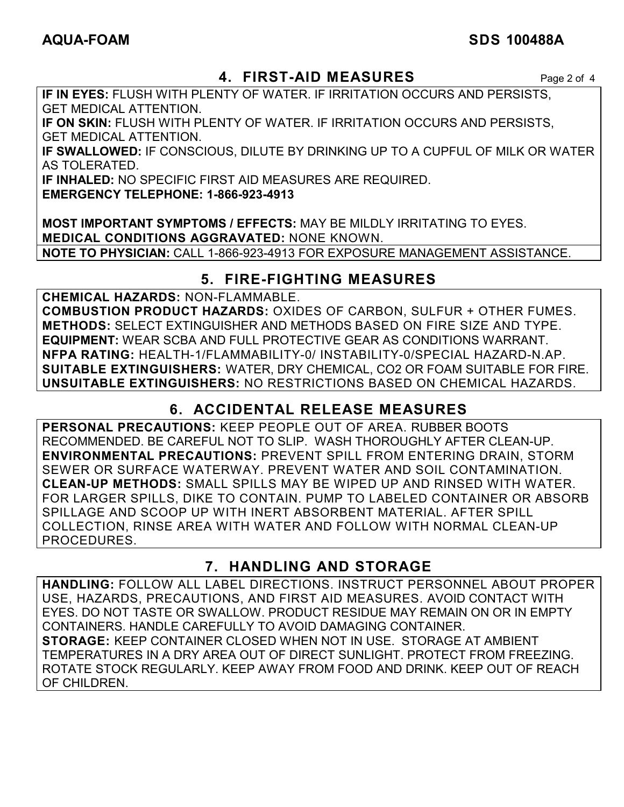# **AQUA-FOAM SDS 100488A**

# **4. FIRST-AID MEASURES** Page 2 of 4

**IF IN EYES:** FLUSH WITH PLENTY OF WATER. IF IRRITATION OCCURS AND PERSISTS, GET MEDICAL ATTENTION.

**IF ON SKIN:** FLUSH WITH PLENTY OF WATER. IF IRRITATION OCCURS AND PERSISTS, GET MEDICAL ATTENTION.

**IF SWALLOWED:** IF CONSCIOUS, DILUTE BY DRINKING UP TO A CUPFUL OF MILK OR WATER AS TOLERATED.

**IF INHALED:** NO SPECIFIC FIRST AID MEASURES ARE REQUIRED.

**EMERGENCY TELEPHONE: 1-866-923-4913** 

**MOST IMPORTANT SYMPTOMS / EFFECTS:** MAY BE MILDLY IRRITATING TO EYES. **MEDICAL CONDITIONS AGGRAVATED:** NONE KNOWN. **NOTE TO PHYSICIAN:** CALL 1-866-923-4913 FOR EXPOSURE MANAGEMENT ASSISTANCE.

# **5. FIRE-FIGHTING MEASURES**

**CHEMICAL HAZARDS:** NON-FLAMMABLE.

**COMBUSTION PRODUCT HAZARDS:** OXIDES OF CARBON, SULFUR + OTHER FUMES. **METHODS:** SELECT EXTINGUISHER AND METHODS BASED ON FIRE SIZE AND TYPE. **EQUIPMENT:** WEAR SCBA AND FULL PROTECTIVE GEAR AS CONDITIONS WARRANT. **NFPA RATING:** HEALTH-1/FLAMMABILITY-0/ INSTABILITY-0/SPECIAL HAZARD-N.AP. **SUITABLE EXTINGUISHERS:** WATER, DRY CHEMICAL, CO2 OR FOAM SUITABLE FOR FIRE. **UNSUITABLE EXTINGUISHERS:** NO RESTRICTIONS BASED ON CHEMICAL HAZARDS.

# **6. ACCIDENTAL RELEASE MEASURES**

**PERSONAL PRECAUTIONS:** KEEP PEOPLE OUT OF AREA. RUBBER BOOTS RECOMMENDED. BE CAREFUL NOT TO SLIP. WASH THOROUGHLY AFTER CLEAN-UP. **ENVIRONMENTAL PRECAUTIONS:** PREVENT SPILL FROM ENTERING DRAIN, STORM SEWER OR SURFACE WATERWAY. PREVENT WATER AND SOIL CONTAMINATION. **CLEAN-UP METHODS:** SMALL SPILLS MAY BE WIPED UP AND RINSED WITH WATER. FOR LARGER SPILLS, DIKE TO CONTAIN. PUMP TO LABELED CONTAINER OR ABSORB SPILLAGE AND SCOOP UP WITH INERT ABSORBENT MATERIAL. AFTER SPILL COLLECTION, RINSE AREA WITH WATER AND FOLLOW WITH NORMAL CLEAN-UP PROCEDURES.

# **7. HANDLING AND STORAGE**

**HANDLING:** FOLLOW ALL LABEL DIRECTIONS. INSTRUCT PERSONNEL ABOUT PROPER USE, HAZARDS, PRECAUTIONS, AND FIRST AID MEASURES. AVOID CONTACT WITH EYES. DO NOT TASTE OR SWALLOW. PRODUCT RESIDUE MAY REMAIN ON OR IN EMPTY CONTAINERS. HANDLE CAREFULLY TO AVOID DAMAGING CONTAINER. **STORAGE:** KEEP CONTAINER CLOSED WHEN NOT IN USE. STORAGE AT AMBIENT TEMPERATURES IN A DRY AREA OUT OF DIRECT SUNLIGHT. PROTECT FROM FREEZING. ROTATE STOCK REGULARLY. KEEP AWAY FROM FOOD AND DRINK. KEEP OUT OF REACH OF CHILDREN.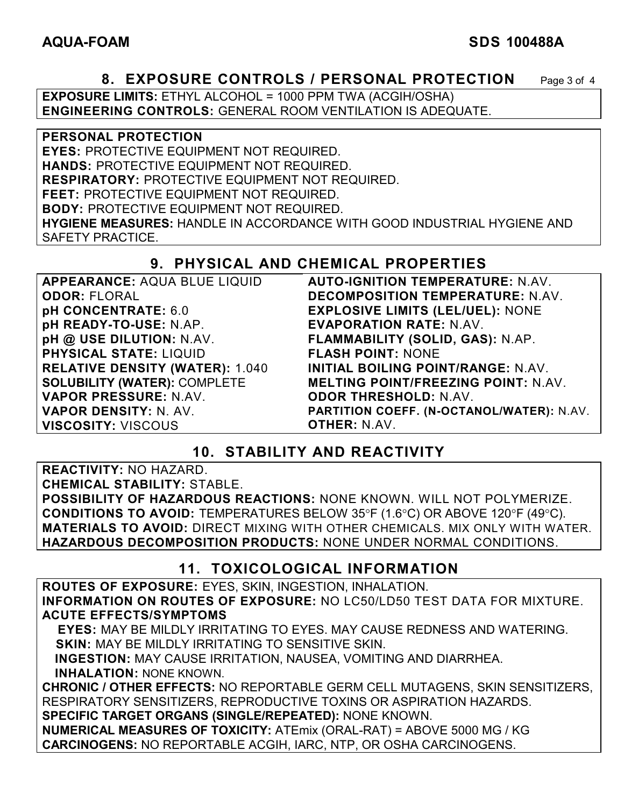#### **AQUA-FOAM SDS 100488A**

#### **8. EXPOSURE CONTROLS / PERSONAL PROTECTION** Page 3 of 4

**EXPOSURE LIMITS:** ETHYL ALCOHOL = 1000 PPM TWA (ACGIH/OSHA) **ENGINEERING CONTROLS:** GENERAL ROOM VENTILATION IS ADEQUATE.

**PERSONAL PROTECTION EYES:** PROTECTIVE EQUIPMENT NOT REQUIRED. **HANDS:** PROTECTIVE EQUIPMENT NOT REQUIRED. **RESPIRATORY:** PROTECTIVE EQUIPMENT NOT REQUIRED. **FEET:** PROTECTIVE EQUIPMENT NOT REQUIRED. **BODY:** PROTECTIVE EQUIPMENT NOT REQUIRED. **HYGIENE MEASURES:** HANDLE IN ACCORDANCE WITH GOOD INDUSTRIAL HYGIENE AND SAFETY PRACTICE.

# **9. PHYSICAL AND CHEMICAL PROPERTIES**

| <b>APPEARANCE: AQUA BLUE LIQUID</b>    | <b>AUTO-IGNITION TEMPERATURE: N.AV.</b>    |
|----------------------------------------|--------------------------------------------|
| <b>ODOR: FLORAL</b>                    | DECOMPOSITION TEMPERATURE: N.AV.           |
| pH CONCENTRATE: 6.0                    | <b>EXPLOSIVE LIMITS (LEL/UEL): NONE</b>    |
| pH READY-TO-USE: N.AP.                 | <b>EVAPORATION RATE: N.AV.</b>             |
| pH @ USE DILUTION: N.AV.               | FLAMMABILITY (SOLID, GAS): N.AP.           |
| <b>PHYSICAL STATE: LIQUID</b>          | <b>FLASH POINT: NONE</b>                   |
| <b>RELATIVE DENSITY (WATER): 1.040</b> | INITIAL BOILING POINT/RANGE: N.AV.         |
| <b>SOLUBILITY (WATER): COMPLETE</b>    | <b>MELTING POINT/FREEZING POINT: N.AV.</b> |
| VAPOR PRESSURE: N.AV.                  | <b>ODOR THRESHOLD: N.AV.</b>               |
| <b>VAPOR DENSITY: N. AV.</b>           | PARTITION COEFF. (N-OCTANOL/WATER): N.AV.  |
| <b>VISCOSITY: VISCOUS</b>              | <b>OTHER: N.AV.</b>                        |

### **10. STABILITY AND REACTIVITY**

**REACTIVITY:** NO HAZARD.

**CHEMICAL STABILITY:** STABLE.

**POSSIBILITY OF HAZARDOUS REACTIONS:** NONE KNOWN. WILL NOT POLYMERIZE. **CONDITIONS TO AVOID:** TEMPERATURES BELOW 35°F (1.6°C) OR ABOVE 120°F (49°C). **MATERIALS TO AVOID:** DIRECT MIXING WITH OTHER CHEMICALS. MIX ONLY WITH WATER. **HAZARDOUS DECOMPOSITION PRODUCTS:** NONE UNDER NORMAL CONDITIONS.

### **11. TOXICOLOGICAL INFORMATION**

**ROUTES OF EXPOSURE:** EYES, SKIN, INGESTION, INHALATION. **INFORMATION ON ROUTES OF EXPOSURE:** NO LC50/LD50 TEST DATA FOR MIXTURE. **ACUTE EFFECTS/SYMPTOMS**

 **EYES:** MAY BE MILDLY IRRITATING TO EYES. MAY CAUSE REDNESS AND WATERING. **SKIN:** MAY BE MILDLY IRRITATING TO SENSITIVE SKIN.

 **INGESTION:** MAY CAUSE IRRITATION, NAUSEA, VOMITING AND DIARRHEA. **INHALATION:** NONE KNOWN.

**CHRONIC / OTHER EFFECTS:** NO REPORTABLE GERM CELL MUTAGENS, SKIN SENSITIZERS, RESPIRATORY SENSITIZERS, REPRODUCTIVE TOXINS OR ASPIRATION HAZARDS. **SPECIFIC TARGET ORGANS (SINGLE/REPEATED):** NONE KNOWN.

**NUMERICAL MEASURES OF TOXICITY:** ATEmix (ORAL-RAT) = ABOVE 5000 MG / KG **CARCINOGENS:** NO REPORTABLE ACGIH, IARC, NTP, OR OSHA CARCINOGENS.